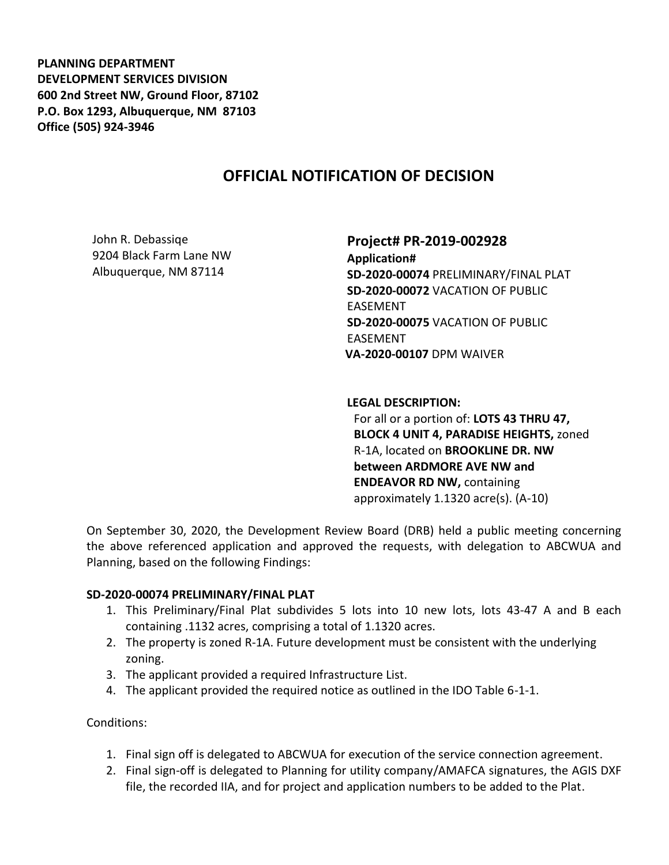**PLANNING DEPARTMENT DEVELOPMENT SERVICES DIVISION 600 2nd Street NW, Ground Floor, 87102 P.O. Box 1293, Albuquerque, NM 87103 Office (505) 924-3946** 

# **OFFICIAL NOTIFICATION OF DECISION**

John R. Debassiqe 9204 Black Farm Lane NW Albuquerque, NM 87114

## **Project# PR-2019-002928**

**Application# SD-2020-00074** PRELIMINARY/FINAL PLAT **SD-2020-00072** VACATION OF PUBLIC EASEMENT **SD-2020-00075** VACATION OF PUBLIC EASEMENT **VA-2020-00107** DPM WAIVER

## **LEGAL DESCRIPTION:**

For all or a portion of: **LOTS 43 THRU 47, BLOCK 4 UNIT 4, PARADISE HEIGHTS,** zoned R-1A, located on **BROOKLINE DR. NW between ARDMORE AVE NW and ENDEAVOR RD NW,** containing approximately 1.1320 acre(s). (A-10)

On September 30, 2020, the Development Review Board (DRB) held a public meeting concerning the above referenced application and approved the requests, with delegation to ABCWUA and Planning, based on the following Findings:

#### **SD-2020-00074 PRELIMINARY/FINAL PLAT**

- 1. This Preliminary/Final Plat subdivides 5 lots into 10 new lots, lots 43-47 A and B each containing .1132 acres, comprising a total of 1.1320 acres.
- 2. The property is zoned R-1A. Future development must be consistent with the underlying zoning.
- 3. The applicant provided a required Infrastructure List.
- 4. The applicant provided the required notice as outlined in the IDO Table 6-1-1.

Conditions:

- 1. Final sign off is delegated to ABCWUA for execution of the service connection agreement.
- 2. Final sign-off is delegated to Planning for utility company/AMAFCA signatures, the AGIS DXF file, the recorded IIA, and for project and application numbers to be added to the Plat.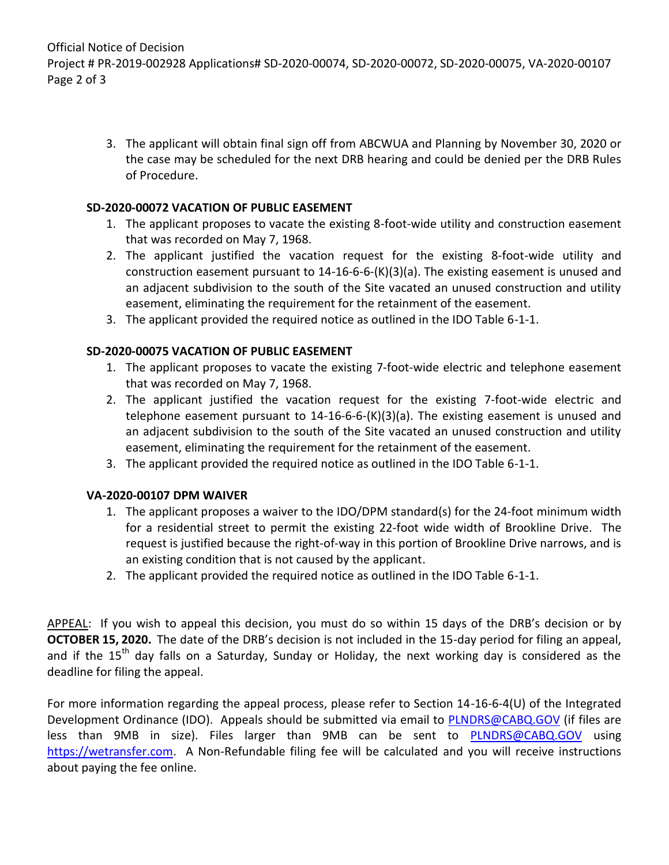Official Notice of Decision Project # PR-2019-002928 Applications# SD-2020-00074, SD-2020-00072, SD-2020-00075, VA-2020-00107 Page 2 of 3

> 3. The applicant will obtain final sign off from ABCWUA and Planning by November 30, 2020 or the case may be scheduled for the next DRB hearing and could be denied per the DRB Rules of Procedure.

## **SD-2020-00072 VACATION OF PUBLIC EASEMENT**

- 1. The applicant proposes to vacate the existing 8-foot-wide utility and construction easement that was recorded on May 7, 1968.
- 2. The applicant justified the vacation request for the existing 8-foot-wide utility and construction easement pursuant to 14-16-6-6-(K)(3)(a). The existing easement is unused and an adjacent subdivision to the south of the Site vacated an unused construction and utility easement, eliminating the requirement for the retainment of the easement.
- 3. The applicant provided the required notice as outlined in the IDO Table 6-1-1.

## **SD-2020-00075 VACATION OF PUBLIC EASEMENT**

- 1. The applicant proposes to vacate the existing 7-foot-wide electric and telephone easement that was recorded on May 7, 1968.
- 2. The applicant justified the vacation request for the existing 7-foot-wide electric and telephone easement pursuant to  $14{\text -}16{\text -}6{\text -}6{\text -}(\kappa)(3)(a)$ . The existing easement is unused and an adjacent subdivision to the south of the Site vacated an unused construction and utility easement, eliminating the requirement for the retainment of the easement.
- 3. The applicant provided the required notice as outlined in the IDO Table 6-1-1.

## **VA-2020-00107 DPM WAIVER**

- 1. The applicant proposes a waiver to the IDO/DPM standard(s) for the 24-foot minimum width for a residential street to permit the existing 22-foot wide width of Brookline Drive. The request is justified because the right-of-way in this portion of Brookline Drive narrows, and is an existing condition that is not caused by the applicant.
- 2. The applicant provided the required notice as outlined in the IDO Table 6-1-1.

APPEAL: If you wish to appeal this decision, you must do so within 15 days of the DRB's decision or by **OCTOBER 15, 2020.** The date of the DRB's decision is not included in the 15-day period for filing an appeal, and if the 15<sup>th</sup> day falls on a Saturday, Sunday or Holiday, the next working day is considered as the deadline for filing the appeal.

For more information regarding the appeal process, please refer to Section 14-16-6-4(U) of the Integrated Development Ordinance (IDO). Appeals should be submitted via email to [PLNDRS@CABQ.GOV](mailto:PLNDRS@CABQ.GOV) (if files are less than 9MB in size). Files larger than 9MB can be sent to **[PLNDRS@CABQ.GOV](mailto:PLNDRS@CABQ.GOV)** using [https://wetransfer.com.](https://wetransfer.com/) A Non-Refundable filing fee will be calculated and you will receive instructions about paying the fee online.